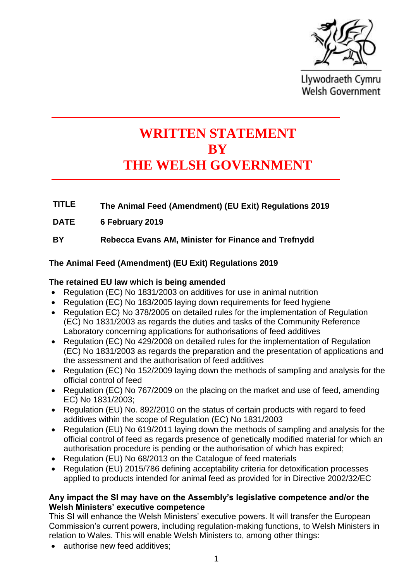

Llywodraeth Cymru **Welsh Government** 

# **WRITTEN STATEMENT BY THE WELSH GOVERNMENT**

- **TITLE The Animal Feed (Amendment) (EU Exit) Regulations 2019**
- **DATE 6 February 2019**

**BY Rebecca Evans AM, Minister for Finance and Trefnydd**

# **The Animal Feed (Amendment) (EU Exit) Regulations 2019**

#### **The retained EU law which is being amended**

- Regulation (EC) No 1831/2003 on additives for use in animal nutrition
- Regulation (EC) No 183/2005 laying down requirements for feed hygiene
- Regulation EC) No 378/2005 on detailed rules for the implementation of Regulation (EC) No 1831/2003 as regards the duties and tasks of the Community Reference Laboratory concerning applications for authorisations of feed additives
- Regulation (EC) No 429/2008 on detailed rules for the implementation of Regulation (EC) No 1831/2003 as regards the preparation and the presentation of applications and the assessment and the authorisation of feed additives
- Regulation (EC) No 152/2009 laying down the methods of sampling and analysis for the official control of feed
- Regulation (EC) No 767/2009 on the placing on the market and use of feed, amending EC) No 1831/2003;
- Regulation (EU) No. 892/2010 on the status of certain products with regard to feed additives within the scope of Regulation (EC) No 1831/2003
- Regulation (EU) No 619/2011 laying down the methods of sampling and analysis for the official control of feed as regards presence of genetically modified material for which an authorisation procedure is pending or the authorisation of which has expired;
- Regulation (EU) No 68/2013 on the Catalogue of feed materials
- Regulation (EU) 2015/786 defining acceptability criteria for detoxification processes applied to products intended for animal feed as provided for in Directive 2002/32/EC

#### **Any impact the SI may have on the Assembly's legislative competence and/or the Welsh Ministers' executive competence**

This SI will enhance the Welsh Ministers' executive powers. It will transfer the European Commission's current powers, including regulation-making functions, to Welsh Ministers in relation to Wales. This will enable Welsh Ministers to, among other things:

• authorise new feed additives;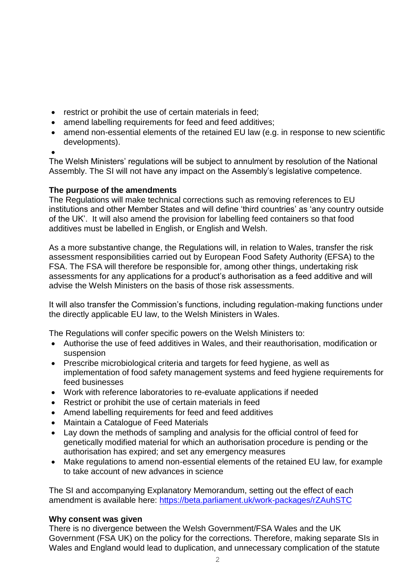- restrict or prohibit the use of certain materials in feed;
- amend labelling requirements for feed and feed additives;
- amend non-essential elements of the retained EU law (e.g. in response to new scientific developments).
- •

The Welsh Ministers' regulations will be subject to annulment by resolution of the National Assembly. The SI will not have any impact on the Assembly's legislative competence.

## **The purpose of the amendments**

The Regulations will make technical corrections such as removing references to EU institutions and other Member States and will define 'third countries' as 'any country outside of the UK'. It will also amend the provision for labelling feed containers so that food additives must be labelled in English, or English and Welsh.

As a more substantive change, the Regulations will, in relation to Wales, transfer the risk assessment responsibilities carried out by European Food Safety Authority (EFSA) to the FSA. The FSA will therefore be responsible for, among other things, undertaking risk assessments for any applications for a product's authorisation as a feed additive and will advise the Welsh Ministers on the basis of those risk assessments.

It will also transfer the Commission's functions, including regulation-making functions under the directly applicable EU law, to the Welsh Ministers in Wales.

The Regulations will confer specific powers on the Welsh Ministers to:

- Authorise the use of feed additives in Wales, and their reauthorisation, modification or suspension
- Prescribe microbiological criteria and targets for feed hygiene, as well as implementation of food safety management systems and feed hygiene requirements for feed businesses
- Work with reference laboratories to re-evaluate applications if needed
- Restrict or prohibit the use of certain materials in feed
- Amend labelling requirements for feed and feed additives
- Maintain a Catalogue of Feed Materials
- Lay down the methods of sampling and analysis for the official control of feed for genetically modified material for which an authorisation procedure is pending or the authorisation has expired; and set any emergency measures
- Make regulations to amend non-essential elements of the retained EU law, for example to take account of new advances in science

The SI and accompanying Explanatory Memorandum, setting out the effect of each amendment is available here:<https://beta.parliament.uk/work-packages/rZAuhSTC>

## **Why consent was given**

There is no divergence between the Welsh Government/FSA Wales and the UK Government (FSA UK) on the policy for the corrections. Therefore, making separate SIs in Wales and England would lead to duplication, and unnecessary complication of the statute